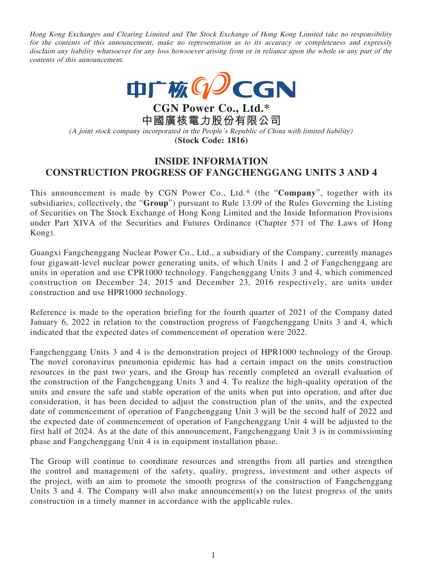Hong Kong Exchanges and Clearing Limited and The Stock Exchange of Hong Kong Limited take no responsibility for the contents of this announcement, make no representation as to its accuracy or completeness and expressly disclaim any liability whatsoever for any loss howsoever arising from or in reliance upon the whole or any part of the contents of this announcement.



**CGN Power Co., Ltd.\* 中國廣核電力股份有限公司** (A joint stock company incorporated in the People's Republic of China with limited liability) **(Stock Code: 1816)**

## **INSIDE INFORMATION CONSTRUCTION PROGRESS OF FANGCHENGGANG UNITS 3 AND 4**

This announcement is made by CGN Power Co., Ltd.\* (the "**Company**", together with its subsidiaries, collectively, the "**Group**") pursuant to Rule 13.09 of the Rules Governing the Listing of Securities on The Stock Exchange of Hong Kong Limited and the Inside Information Provisions under Part XIVA of the Securities and Futures Ordinance (Chapter 571 of The Laws of Hong Kong).

Guangxi Fangchenggang Nuclear Power Co., Ltd., a subsidiary of the Company, currently manages four gigawatt-level nuclear power generating units, of which Units 1 and 2 of Fangchenggang are units in operation and use CPR1000 technology. Fangchenggang Units 3 and 4, which commenced construction on December 24, 2015 and December 23, 2016 respectively, are units under construction and use HPR1000 technology.

Reference is made to the operation briefing for the fourth quarter of 2021 of the Company dated January 6, 2022 in relation to the construction progress of Fangchenggang Units 3 and 4, which indicated that the expected dates of commencement of operation were 2022.

Fangchenggang Units 3 and 4 is the demonstration project of HPR1000 technology of the Group. The novel coronavirus pneumonia epidemic has had a certain impact on the units construction resources in the past two years, and the Group has recently completed an overall evaluation of the construction of the Fangchenggang Units 3 and 4. To realize the high-quality operation of the units and ensure the safe and stable operation of the units when put into operation, and after due consideration, it has been decided to adjust the construction plan of the units, and the expected date of commencement of operation of Fangchenggang Unit 3 will be the second half of 2022 and the expected date of commencement of operation of Fangchenggang Unit 4 will be adjusted to the first half of 2024. As at the date of this announcement, Fangchenggang Unit 3 is in commissioning phase and Fangchenggang Unit 4 is in equipment installation phase.

The Group will continue to coordinate resources and strengths from all parties and strengthen the control and management of the safety, quality, progress, investment and other aspects of the project, with an aim to promote the smooth progress of the construction of Fangchenggang Units 3 and 4. The Company will also make announcement(s) on the latest progress of the units construction in a timely manner in accordance with the applicable rules.